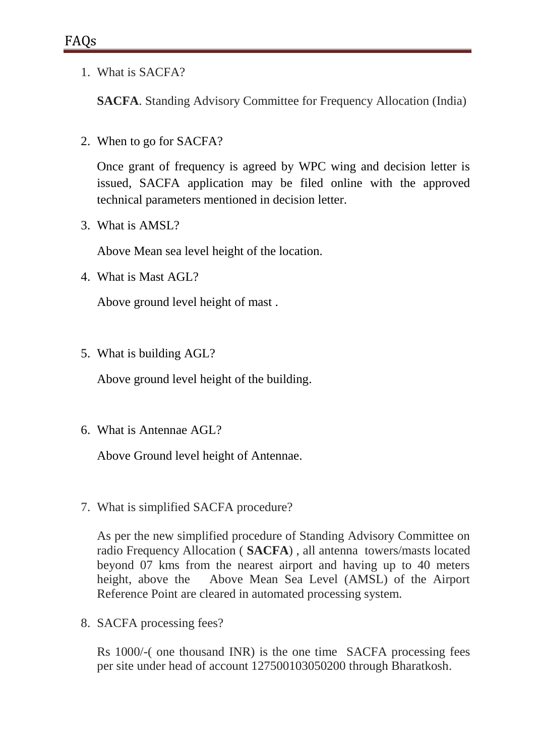1. What is SACFA?

**SACFA**. Standing Advisory Committee for Frequency Allocation (India)

2. When to go for SACFA?

Once grant of frequency is agreed by WPC wing and decision letter is issued, SACFA application may be filed online with the approved technical parameters mentioned in decision letter.

3. What is AMSL?

Above Mean sea level height of the location.

4. What is Mast AGL?

Above ground level height of mast .

5. What is building AGL?

Above ground level height of the building.

6. What is Antennae AGL?

Above Ground level height of Antennae.

7. What is simplified SACFA procedure?

As per the new simplified procedure of Standing Advisory Committee on radio Frequency Allocation ( **SACFA**) , all antenna towers/masts located beyond 07 kms from the nearest airport and having up to 40 meters height, above the Above Mean Sea Level (AMSL) of the Airport Reference Point are cleared in automated processing system.

8. SACFA processing fees?

Rs 1000/-( one thousand INR) is the one time SACFA processing fees per site under head of account 127500103050200 through Bharatkosh.